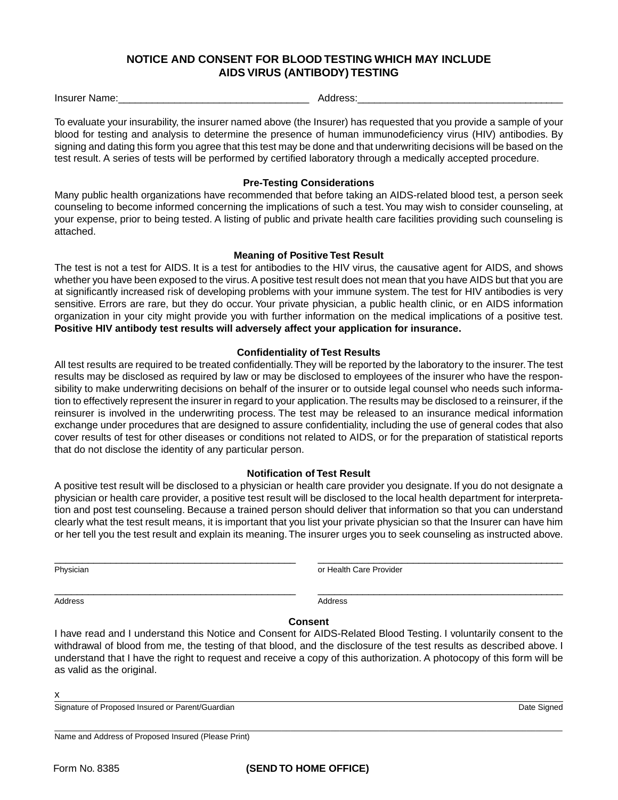# **NOTICE AND CONSENT FOR BLOOD TESTING WHICH MAY INCLUDE AIDS VIRUS (ANTIBODY) TESTING**

Insurer Name: etc. Andress:

To evaluate your insurability, the insurer named above (the Insurer) has requested that you provide a sample of your blood for testing and analysis to determine the presence of human immunodeficiency virus (HIV) antibodies. By signing and dating this form you agree that this test may be done and that underwriting decisions will be based on the test result. A series of tests will be performed by certified laboratory through a medically accepted procedure.

#### **Pre-Testing Considerations**

Many public health organizations have recommended that before taking an AIDS-related blood test, a person seek counseling to become informed concerning the implications of such a test. You may wish to consider counseling, at your expense, prior to being tested. A listing of public and private health care facilities providing such counseling is attached.

#### **Meaning of Positive Test Result**

The test is not a test for AIDS. It is a test for antibodies to the HIV virus, the causative agent for AIDS, and shows whether you have been exposed to the virus. A positive test result does not mean that you have AIDS but that you are at significantly increased risk of developing problems with your immune system. The test for HIV antibodies is very sensitive. Errors are rare, but they do occur. Your private physician, a public health clinic, or en AIDS information organization in your city might provide you with further information on the medical implications of a positive test. **Positive HIV antibody test results will adversely affect your application for insurance.**

## **Confidentiality of Test Results**

All test results are required to be treated confidentially. They will be reported by the laboratory to the insurer. The test results may be disclosed as required by law or may be disclosed to employees of the insurer who have the responsibility to make underwriting decisions on behalf of the insurer or to outside legal counsel who needs such information to effectively represent the insurer in regard to your application. The results may be disclosed to a reinsurer, if the reinsurer is involved in the underwriting process. The test may be released to an insurance medical information exchange under procedures that are designed to assure confidentiality, including the use of general codes that also cover results of test for other diseases or conditions not related to AIDS, or for the preparation of statistical reports that do not disclose the identity of any particular person.

## **Notification of Test Result**

A positive test result will be disclosed to a physician or health care provider you designate. If you do not designate a physician or health care provider, a positive test result will be disclosed to the local health department for interpretation and post test counseling. Because a trained person should deliver that information so that you can understand clearly what the test result means, it is important that you list your private physician so that the Insurer can have him or her tell you the test result and explain its meaning. The insurer urges you to seek counseling as instructed above.

\_\_\_\_\_\_\_\_\_\_\_\_\_\_\_\_\_\_\_\_\_\_\_\_\_\_\_\_\_\_\_\_\_\_\_\_\_\_\_\_\_\_\_ \_\_\_\_\_\_\_\_\_\_\_\_\_\_\_\_\_\_\_\_\_\_\_\_\_\_\_\_\_\_\_\_\_\_\_\_\_\_\_\_\_\_\_\_

Physician **Physician Physician** or Health Care Provider

Address Address Address Address Address Address Address Address Address Address Address Address Address Address A

\_\_\_\_\_\_\_\_\_\_\_\_\_\_\_\_\_\_\_\_\_\_\_\_\_\_\_\_\_\_\_\_\_\_\_\_\_\_\_\_\_\_\_ \_\_\_\_\_\_\_\_\_\_\_\_\_\_\_\_\_\_\_\_\_\_\_\_\_\_\_\_\_\_\_\_\_\_\_\_\_\_\_\_\_\_\_\_

#### **Consent**

I have read and I understand this Notice and Consent for AIDS-Related Blood Testing. I voluntarily consent to the withdrawal of blood from me, the testing of that blood, and the disclosure of the test results as described above. I understand that I have the right to request and receive a copy of this authorization. A photocopy of this form will be as valid as the original.

x

Signature of Proposed Insured or Parent/Guardian **Date Signature of Proposed Insured or Parent/Guardian** Date Signed

\_\_\_\_\_\_\_\_\_\_\_\_\_\_\_\_\_\_\_\_\_\_\_\_\_\_\_\_\_\_\_\_\_\_\_\_\_\_\_\_\_\_\_\_\_\_\_\_\_\_\_\_\_\_\_\_\_\_\_\_\_\_\_\_\_\_\_\_\_\_\_\_\_\_\_\_\_\_\_\_\_\_\_\_\_\_\_\_\_\_\_\_\_\_\_\_\_\_\_\_\_\_\_\_\_\_\_\_\_\_\_\_\_\_

Name and Address of Proposed Insured (Please Print)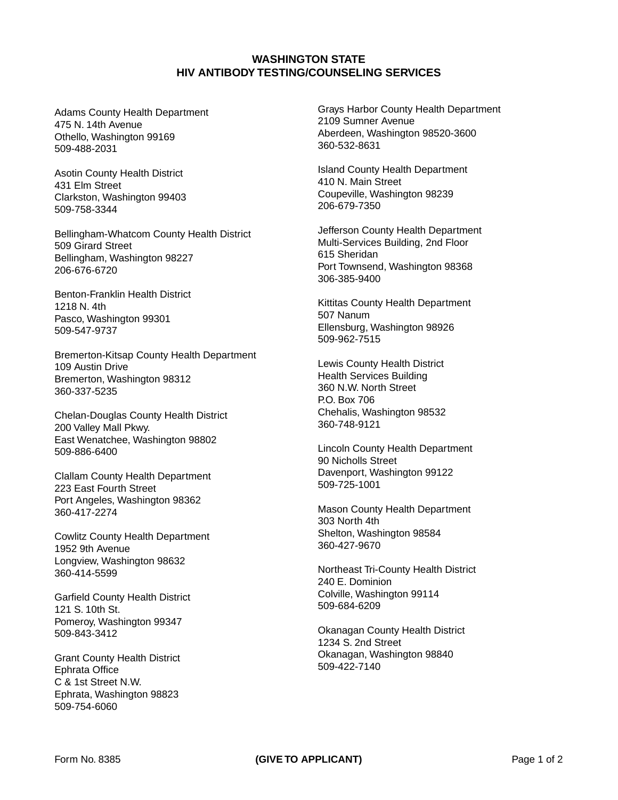## **WASHINGTON STATE HIV ANTIBODY TESTING/COUNSELING SERVICES**

Adams County Health Department 475 N. 14th Avenue Othello, Washington 99169 509-488-2031

Asotin County Health District 431 Elm Street Clarkston, Washington 99403 509-758-3344

Bellingham-Whatcom County Health District 509 Girard Street Bellingham, Washington 98227 206-676-6720

Benton-Franklin Health District 1218 N. 4th Pasco, Washington 99301 509-547-9737

Bremerton-Kitsap County Health Department 109 Austin Drive Bremerton, Washington 98312 360-337-5235

Chelan-Douglas County Health District 200 Valley Mall Pkwy. East Wenatchee, Washington 98802 509-886-6400

Clallam County Health Department 223 East Fourth Street Port Angeles, Washington 98362 360-417-2274

Cowlitz County Health Department 1952 9th Avenue Longview, Washington 98632 360-414-5599

Garfield County Health District 121 S. 10th St. Pomeroy, Washington 99347 509-843-3412

Grant County Health District Ephrata Office C & 1st Street N.W. Ephrata, Washington 98823 509-754-6060

Grays Harbor County Health Department 2109 Sumner Avenue Aberdeen, Washington 98520-3600 360-532-8631

Island County Health Department 410 N. Main Street Coupeville, Washington 98239 206-679-7350

Jefferson County Health Department Multi-Services Building, 2nd Floor 615 Sheridan Port Townsend, Washington 98368 306-385-9400

Kittitas County Health Department 507 Nanum Ellensburg, Washington 98926 509-962-7515

Lewis County Health District Health Services Building 360 N.W. North Street P.O. Box 706 Chehalis, Washington 98532 360-748-9121

Lincoln County Health Department 90 Nicholls Street Davenport, Washington 99122 509-725-1001

Mason County Health Department 303 North 4th Shelton, Washington 98584 360-427-9670

Northeast Tri-County Health District 240 E. Dominion Colville, Washington 99114 509-684-6209

Okanagan County Health District 1234 S. 2nd Street Okanagan, Washington 98840 509-422-7140